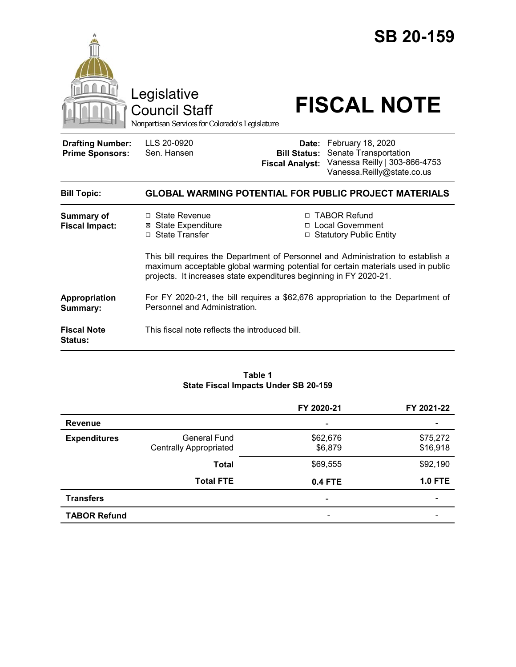

### **Table 1 State Fiscal Impacts Under SB 20-159**

|                     |                               | FY 2020-21     | FY 2021-22     |
|---------------------|-------------------------------|----------------|----------------|
| <b>Revenue</b>      |                               | ۰              |                |
| <b>Expenditures</b> | <b>General Fund</b>           | \$62,676       | \$75,272       |
|                     | <b>Centrally Appropriated</b> | \$6,879        | \$16,918       |
|                     | <b>Total</b>                  | \$69,555       | \$92,190       |
|                     | <b>Total FTE</b>              | <b>0.4 FTE</b> | <b>1.0 FTE</b> |
| <b>Transfers</b>    |                               | ۰              |                |
| <b>TABOR Refund</b> |                               |                |                |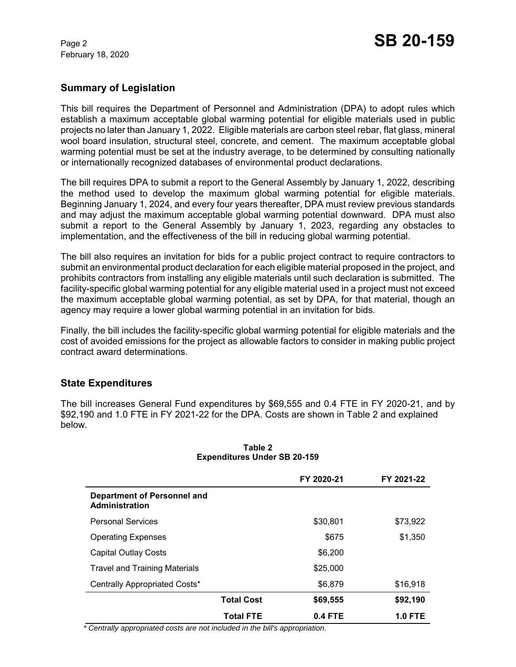February 18, 2020

# **Summary of Legislation**

This bill requires the Department of Personnel and Administration (DPA) to adopt rules which establish a maximum acceptable global warming potential for eligible materials used in public projects no later than January 1, 2022. Eligible materials are carbon steel rebar, flat glass, mineral wool board insulation, structural steel, concrete, and cement. The maximum acceptable global warming potential must be set at the industry average, to be determined by consulting nationally or internationally recognized databases of environmental product declarations.

The bill requires DPA to submit a report to the General Assembly by January 1, 2022, describing the method used to develop the maximum global warming potential for eligible materials. Beginning January 1, 2024, and every four years thereafter, DPA must review previous standards and may adjust the maximum acceptable global warming potential downward. DPA must also submit a report to the General Assembly by January 1, 2023, regarding any obstacles to implementation, and the effectiveness of the bill in reducing global warming potential.

The bill also requires an invitation for bids for a public project contract to require contractors to submit an environmental product declaration for each eligible material proposed in the project, and prohibits contractors from installing any eligible materials until such declaration is submitted. The facility-specific global warming potential for any eligible material used in a project must not exceed the maximum acceptable global warming potential, as set by DPA, for that material, though an agency may require a lower global warming potential in an invitation for bids.

Finally, the bill includes the facility-specific global warming potential for eligible materials and the cost of avoided emissions for the project as allowable factors to consider in making public project contract award determinations.

# **State Expenditures**

The bill increases General Fund expenditures by \$69,555 and 0.4 FTE in FY 2020-21, and by \$92,190 and 1.0 FTE in FY 2021-22 for the DPA. Costs are shown in Table 2 and explained below.

|                                                      |                   | FY 2020-21 | FY 2021-22     |
|------------------------------------------------------|-------------------|------------|----------------|
| <b>Department of Personnel and</b><br>Administration |                   |            |                |
| <b>Personal Services</b>                             |                   | \$30,801   | \$73,922       |
| <b>Operating Expenses</b>                            |                   | \$675      | \$1,350        |
| <b>Capital Outlay Costs</b>                          |                   | \$6,200    |                |
| <b>Travel and Training Materials</b>                 |                   | \$25,000   |                |
| Centrally Appropriated Costs*                        |                   | \$6,879    | \$16,918       |
|                                                      | <b>Total Cost</b> | \$69,555   | \$92,190       |
|                                                      | <b>Total FTE</b>  | 0.4 FTE    | <b>1.0 FTE</b> |

#### **Table 2 Expenditures Under SB 20-159**

 *\* Centrally appropriated costs are not included in the bill's appropriation.*